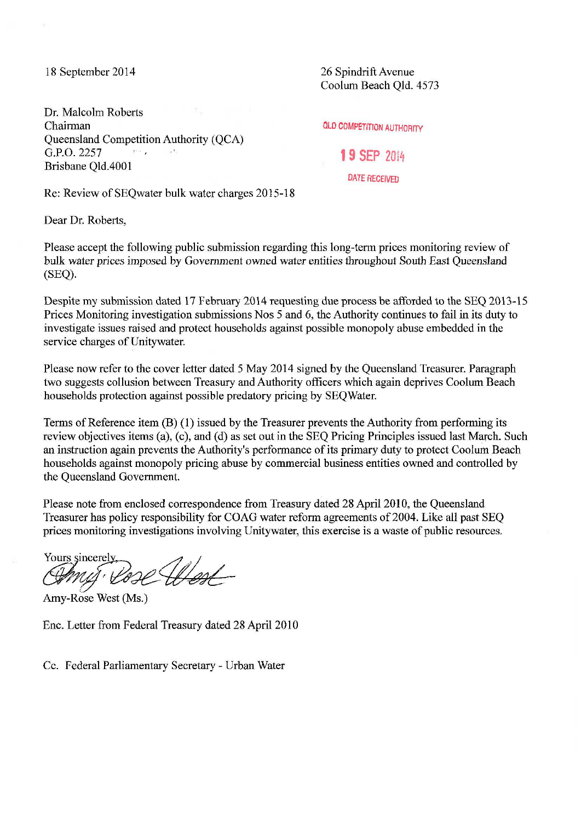18 September 2014

Dr. Malcolm Roberts Chairman Queensland Competition Authority (QCA) G.P.O. 2257  $\overline{X}$ Brisbane Qld.4001

26 Spindrift Avenue Coolum Beach Qld. 4573

OLD COMPETITION AUTHORITY

**19 SEP** <sup>2014</sup> DATE RECEIVED

Re: Review of SEQwater bulk water charges 2015-18

Dear Dr. Roberts,

Please accept the following public submission regarding this long-term prices monitoring review of bulk water prices imposed by Government owned water entities throughout South East Queensland (SEQ).

Despite my submission dated 17 February 2014 requesting due process be afforded to the SEQ 2013-15 Prices Monitoring investigation submissions Nos 5 and 6, the Authority continues to fail in its duty to investigate issues raised and protect households against possible monopoly abuse embedded in the service charges of Unitywater.

Please now refer to the cover letter dated 5 May 2014 signed by the Queensland Treasurer. Paragraph two suggests collusion between Treasury and Authority officers which again deprives Coolum Beach households protection against possible predatory pricing by SEQ Water.

Terms of Reference item (B) ( 1) issued by the Treasurer prevents the Authority from performing its review objectives items (a), (c), and (d) as set out in the SEQ Pricing Principles issued last March. Such an instruction again prevents the Authority's performance of its primary duty to protect Coolum Beach households against monopoly pricing abuse by commercial business entities owned and controlled by the Queensland Government.

Please note from enclosed correspondence from Treasury dated 28 April 2010, the Queensland Treasurer has policy responsibility for COAG water reform agreements of 2004. Like all past SEQ prices monitoring investigations involving Unitywater, this exercise is a waste of public resources.

Yours sincerely,<br>(Dans in (Dans) Ill not

Amy-Rose West (Ms.)

Enc. Letter from Federal Treasury dated 28 April 2010

Cc. Federal Parliamentary Secretary- Urban Water